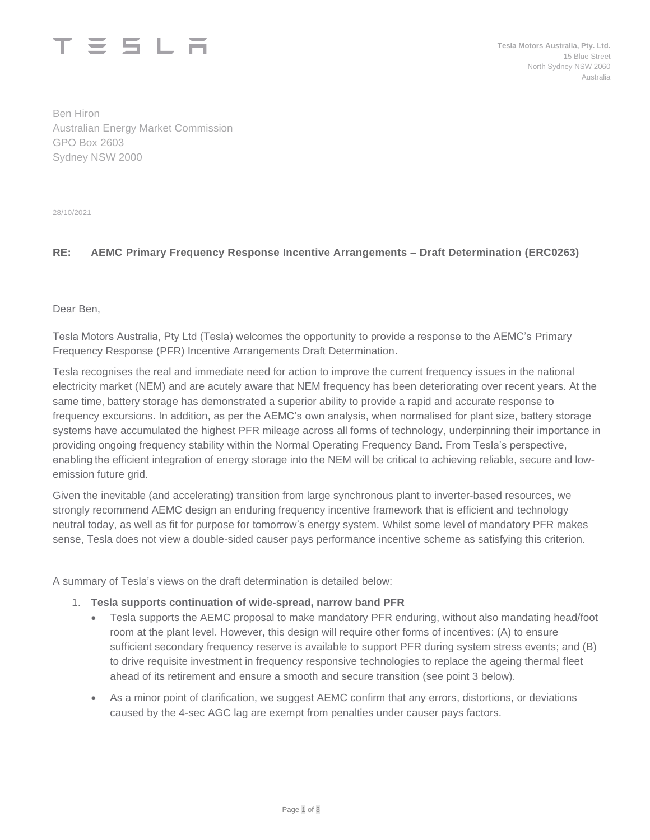

Ben Hiron Australian Energy Market Commission GPO Box 2603 Sydney NSW 2000

28/10/2021

## **RE: AEMC Primary Frequency Response Incentive Arrangements – Draft Determination (ERC0263)**

Dear Ben,

Tesla Motors Australia, Pty Ltd (Tesla) welcomes the opportunity to provide a response to the AEMC's Primary Frequency Response (PFR) Incentive Arrangements Draft Determination.

Tesla recognises the real and immediate need for action to improve the current frequency issues in the national electricity market (NEM) and are acutely aware that NEM frequency has been deteriorating over recent years. At the same time, battery storage has demonstrated a superior ability to provide a rapid and accurate response to frequency excursions. In addition, as per the AEMC's own analysis, when normalised for plant size, battery storage systems have accumulated the highest PFR mileage across all forms of technology, underpinning their importance in providing ongoing frequency stability within the Normal Operating Frequency Band. From Tesla's perspective, enabling the efficient integration of energy storage into the NEM will be critical to achieving reliable, secure and lowemission future grid.

Given the inevitable (and accelerating) transition from large synchronous plant to inverter-based resources, we strongly recommend AEMC design an enduring frequency incentive framework that is efficient and technology neutral today, as well as fit for purpose for tomorrow's energy system. Whilst some level of mandatory PFR makes sense, Tesla does not view a double-sided causer pays performance incentive scheme as satisfying this criterion.

A summary of Tesla's views on the draft determination is detailed below:

- 1. **Tesla supports continuation of wide-spread, narrow band PFR**
	- Tesla supports the AEMC proposal to make mandatory PFR enduring, without also mandating head/foot room at the plant level. However, this design will require other forms of incentives: (A) to ensure sufficient secondary frequency reserve is available to support PFR during system stress events; and (B) to drive requisite investment in frequency responsive technologies to replace the ageing thermal fleet ahead of its retirement and ensure a smooth and secure transition (see point 3 below).
	- As a minor point of clarification, we suggest AEMC confirm that any errors, distortions, or deviations caused by the 4-sec AGC lag are exempt from penalties under causer pays factors.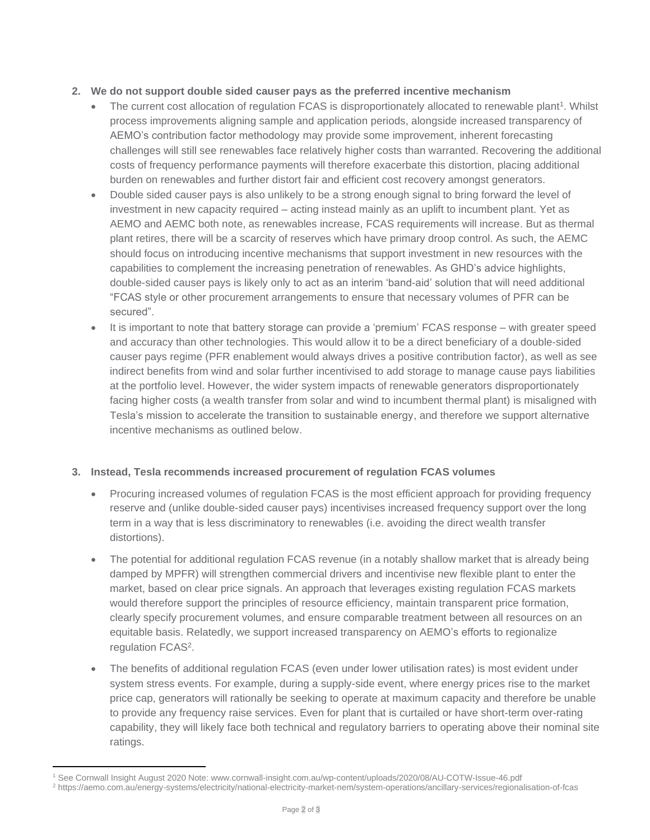## **2. We do not support double sided causer pays as the preferred incentive mechanism**

- The current cost allocation of regulation FCAS is disproportionately allocated to renewable plant<sup>1</sup>. Whilst process improvements aligning sample and application periods, alongside increased transparency of AEMO's contribution factor methodology may provide some improvement, inherent forecasting challenges will still see renewables face relatively higher costs than warranted. Recovering the additional costs of frequency performance payments will therefore exacerbate this distortion, placing additional burden on renewables and further distort fair and efficient cost recovery amongst generators.
- Double sided causer pays is also unlikely to be a strong enough signal to bring forward the level of investment in new capacity required – acting instead mainly as an uplift to incumbent plant. Yet as AEMO and AEMC both note, as renewables increase, FCAS requirements will increase. But as thermal plant retires, there will be a scarcity of reserves which have primary droop control. As such, the AEMC should focus on introducing incentive mechanisms that support investment in new resources with the capabilities to complement the increasing penetration of renewables. As GHD's advice highlights, double-sided causer pays is likely only to act as an interim 'band-aid' solution that will need additional "FCAS style or other procurement arrangements to ensure that necessary volumes of PFR can be secured".
- It is important to note that battery storage can provide a 'premium' FCAS response with greater speed and accuracy than other technologies. This would allow it to be a direct beneficiary of a double-sided causer pays regime (PFR enablement would always drives a positive contribution factor), as well as see indirect benefits from wind and solar further incentivised to add storage to manage cause pays liabilities at the portfolio level. However, the wider system impacts of renewable generators disproportionately facing higher costs (a wealth transfer from solar and wind to incumbent thermal plant) is misaligned with Tesla's mission to accelerate the transition to sustainable energy, and therefore we support alternative incentive mechanisms as outlined below.

## **3. Instead, Tesla recommends increased procurement of regulation FCAS volumes**

- Procuring increased volumes of regulation FCAS is the most efficient approach for providing frequency reserve and (unlike double-sided causer pays) incentivises increased frequency support over the long term in a way that is less discriminatory to renewables (i.e. avoiding the direct wealth transfer distortions).
- The potential for additional regulation FCAS revenue (in a notably shallow market that is already being damped by MPFR) will strengthen commercial drivers and incentivise new flexible plant to enter the market, based on clear price signals. An approach that leverages existing regulation FCAS markets would therefore support the principles of resource efficiency, maintain transparent price formation, clearly specify procurement volumes, and ensure comparable treatment between all resources on an equitable basis. Relatedly, we support increased transparency on AEMO's efforts to regionalize regulation FCAS<sup>2</sup>.
- The benefits of additional regulation FCAS (even under lower utilisation rates) is most evident under system stress events. For example, during a supply-side event, where energy prices rise to the market price cap, generators will rationally be seeking to operate at maximum capacity and therefore be unable to provide any frequency raise services. Even for plant that is curtailed or have short-term over-rating capability, they will likely face both technical and regulatory barriers to operating above their nominal site ratings.

<sup>1</sup> See Cornwall Insight August 2020 Note: www.cornwall-insight.com.au/wp-content/uploads/2020/08/AU-COTW-Issue-46.pdf

<sup>2</sup> https://aemo.com.au/energy-systems/electricity/national-electricity-market-nem/system-operations/ancillary-services/regionalisation-of-fcas